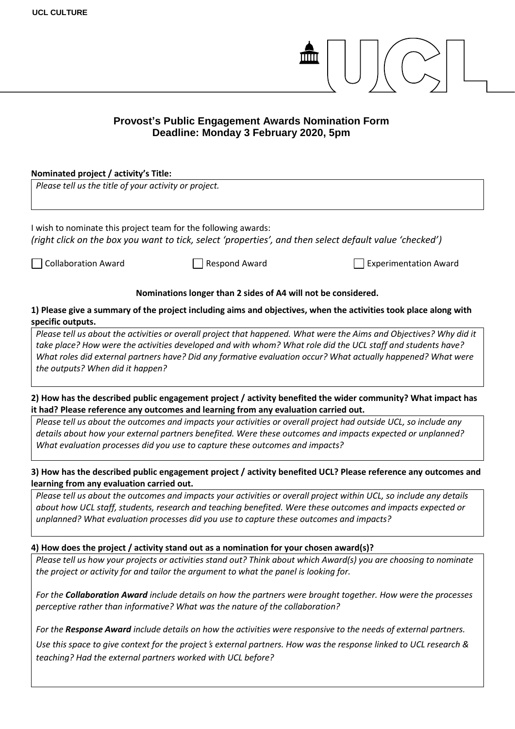

## **Provost's Public Engagement Awards Nomination Form Deadline: Monday 3 February 2020, 5pm**

## **Nominated project / activity's Title:** *Please tell us the title of your activity or project.*  I wish to nominate this project team for the following awards: *(right click on the box you want to tick, select 'properties', and then select default value 'checked')* Collaboration Award Respond Award Experimentation Award **Nominations longer than 2 sides of A4 will not be considered. 1) Please give a summary of the project including aims and objectives, when the activities took place along with specific outputs.**  *Please tell us about the activities or overall project that happened. What were the Aims and Objectives? Why did it take place? How were the activities developed and with whom? What role did the UCL staff and students have? What roles did external partners have? Did any formative evaluation occur? What actually happened? What were the outputs? When did it happen?* **2) How has the described public engagement project / activity benefited the wider community? What impact has it had? Please reference any outcomes and learning from any evaluation carried out.**  *Please tell us about the outcomes and impacts your activities or overall project had outside UCL, so include any details about how your external partners benefited. Were these outcomes and impacts expected or unplanned? What evaluation processes did you use to capture these outcomes and impacts?* **3) How has the described public engagement project / activity benefited UCL? Please reference any outcomes and learning from any evaluation carried out.** *Please tell us about the outcomes and impacts your activities or overall project within UCL, so include any details about how UCL staff, students, research and teaching benefited. Were these outcomes and impacts expected or unplanned? What evaluation processes did you use to capture these outcomes and impacts?* **4) How does the project / activity stand out as a nomination for your chosen award(s)?** *Please tell us how your projects or activities stand out? Think about which Award(s) you are choosing to nominate the project or activity for and tailor the argument to what the panel is looking for. For the Collaboration Award include details on how the partners were brought together. How were the processes perceptive rather than informative? What was the nature of the collaboration? For the Response Award include details on how the activities were responsive to the needs of external partners.*

*Use this space to give context for the project*'*s external partners. How was the response linked to UCL research & teaching? Had the external partners worked with UCL before?*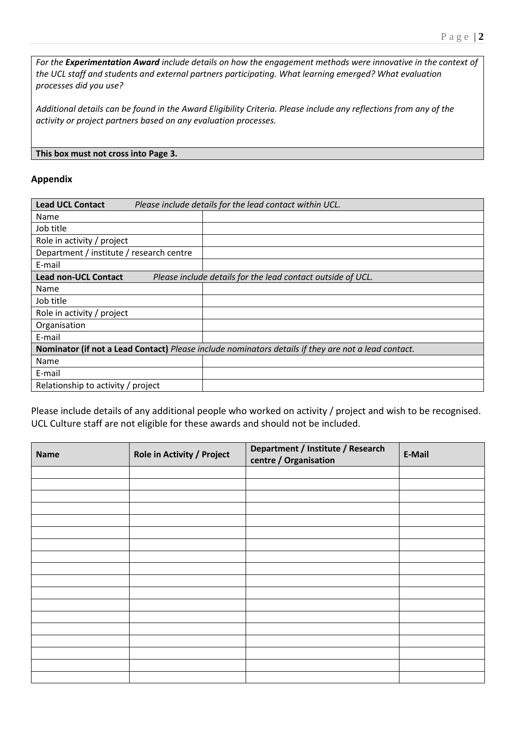*For the Experimentation Award include details on how the engagement methods were innovative in the context of the UCL staff and students and external partners participating. What learning emerged? What evaluation processes did you use?* 

*Additional details can be found in the Award Eligibility Criteria. Please include any reflections from any of the activity or project partners based on any evaluation processes.*

## **This box must not cross into Page 3.**

## **Appendix**

| <b>Lead UCL Contact</b>                                                                             | Please include details for the lead contact within UCL. |  |  |  |
|-----------------------------------------------------------------------------------------------------|---------------------------------------------------------|--|--|--|
| Name                                                                                                |                                                         |  |  |  |
| Job title                                                                                           |                                                         |  |  |  |
| Role in activity / project                                                                          |                                                         |  |  |  |
| Department / institute / research centre                                                            |                                                         |  |  |  |
| E-mail                                                                                              |                                                         |  |  |  |
| <b>Lead non-UCL Contact</b><br>Please include details for the lead contact outside of UCL.          |                                                         |  |  |  |
| Name                                                                                                |                                                         |  |  |  |
| Job title                                                                                           |                                                         |  |  |  |
| Role in activity / project                                                                          |                                                         |  |  |  |
| Organisation                                                                                        |                                                         |  |  |  |
| E-mail                                                                                              |                                                         |  |  |  |
| Nominator (if not a Lead Contact) Please include nominators details if they are not a lead contact. |                                                         |  |  |  |
| Name                                                                                                |                                                         |  |  |  |
| E-mail                                                                                              |                                                         |  |  |  |
| Relationship to activity / project                                                                  |                                                         |  |  |  |

Please include details of any additional people who worked on activity / project and wish to be recognised. UCL Culture staff are not eligible for these awards and should not be included.

| <b>Name</b> | Role in Activity / Project | Department / Institute / Research<br>centre / Organisation | E-Mail |
|-------------|----------------------------|------------------------------------------------------------|--------|
|             |                            |                                                            |        |
|             |                            |                                                            |        |
|             |                            |                                                            |        |
|             |                            |                                                            |        |
|             |                            |                                                            |        |
|             |                            |                                                            |        |
|             |                            |                                                            |        |
|             |                            |                                                            |        |
|             |                            |                                                            |        |
|             |                            |                                                            |        |
|             |                            |                                                            |        |
|             |                            |                                                            |        |
|             |                            |                                                            |        |
|             |                            |                                                            |        |
|             |                            |                                                            |        |
|             |                            |                                                            |        |
|             |                            |                                                            |        |
|             |                            |                                                            |        |